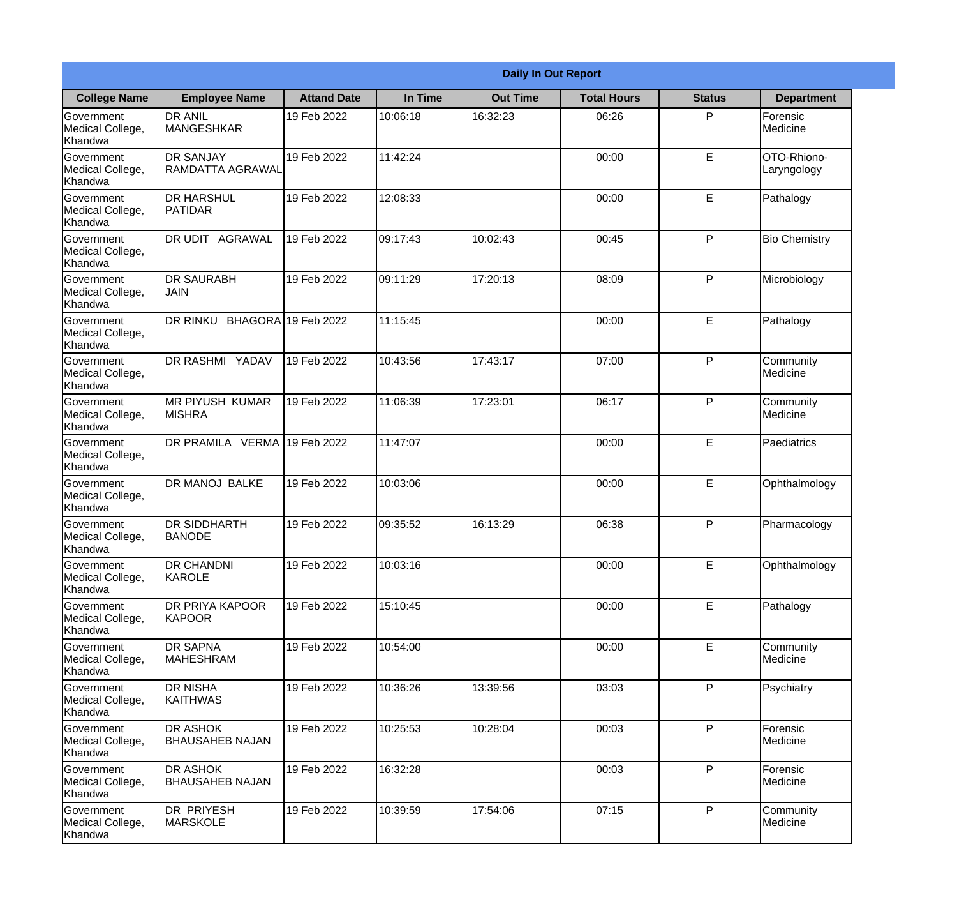|                                                  | <b>Daily In Out Report</b>                |                    |          |                 |                    |               |                            |  |
|--------------------------------------------------|-------------------------------------------|--------------------|----------|-----------------|--------------------|---------------|----------------------------|--|
| <b>College Name</b>                              | <b>Employee Name</b>                      | <b>Attand Date</b> | In Time  | <b>Out Time</b> | <b>Total Hours</b> | <b>Status</b> | <b>Department</b>          |  |
| Government<br>Medical College,<br>Khandwa        | <b>DR ANIL</b><br><b>MANGESHKAR</b>       | 19 Feb 2022        | 10:06:18 | 16:32:23        | 06:26              | P             | Forensic<br>Medicine       |  |
| Government<br>Medical College,<br>Khandwa        | <b>DR SANJAY</b><br>RAMDATTA AGRAWAL      | 19 Feb 2022        | 11:42:24 |                 | 00:00              | $\mathsf E$   | OTO-Rhiono-<br>Laryngology |  |
| <b>Government</b><br>Medical College,<br>Khandwa | <b>DR HARSHUL</b><br><b>PATIDAR</b>       | 19 Feb 2022        | 12:08:33 |                 | 00:00              | E             | Pathalogy                  |  |
| <b>Government</b><br>Medical College,<br>Khandwa | DR UDIT AGRAWAL                           | 19 Feb 2022        | 09:17:43 | 10:02:43        | 00:45              | P             | <b>Bio Chemistry</b>       |  |
| Government<br>Medical College,<br>Khandwa        | <b>DR SAURABH</b><br><b>JAIN</b>          | 19 Feb 2022        | 09:11:29 | 17:20:13        | 08:09              | P             | Microbiology               |  |
| Government<br>Medical College,<br>Khandwa        | DR RINKU BHAGORA 19 Feb 2022              |                    | 11:15:45 |                 | 00:00              | E             | Pathalogy                  |  |
| <b>Government</b><br>Medical College,<br>Khandwa | <b>DR RASHMI YADAV</b>                    | 19 Feb 2022        | 10:43:56 | 17:43:17        | 07:00              | P             | Community<br>Medicine      |  |
| <b>Government</b><br>Medical College,<br>Khandwa | <b>MR PIYUSH KUMAR</b><br><b>MISHRA</b>   | 19 Feb 2022        | 11:06:39 | 17:23:01        | 06:17              | P             | Community<br>Medicine      |  |
| Government<br>Medical College,<br>Khandwa        | DR PRAMILA VERMA 19 Feb 2022              |                    | 11:47:07 |                 | 00:00              | E             | Paediatrics                |  |
| Government<br>Medical College,<br>Khandwa        | <b>DR MANOJ BALKE</b>                     | 19 Feb 2022        | 10:03:06 |                 | 00:00              | $\mathsf E$   | Ophthalmology              |  |
| Government<br>Medical College,<br>Khandwa        | <b>DR SIDDHARTH</b><br><b>BANODE</b>      | 19 Feb 2022        | 09:35:52 | 16:13:29        | 06:38              | P             | Pharmacology               |  |
| Government<br>Medical College,<br>Khandwa        | <b>DR CHANDNI</b><br>KAROLE               | 19 Feb 2022        | 10:03:16 |                 | 00:00              | E             | Ophthalmology              |  |
| Government<br>Medical College,<br>Khandwa        | <b>DR PRIYA KAPOOR</b><br><b>KAPOOR</b>   | 19 Feb 2022        | 15:10:45 |                 | 00:00              | E             | Pathalogy                  |  |
| Government<br>Medical College,<br>Khandwa        | <b>DR SAPNA</b><br><b>MAHESHRAM</b>       | 19 Feb 2022        | 10:54:00 |                 | 00:00              | $\mathsf E$   | Community<br>Medicine      |  |
| <b>Government</b><br>Medical College,<br>Khandwa | <b>DR NISHA</b><br><b>KAITHWAS</b>        | 19 Feb 2022        | 10:36:26 | 13:39:56        | 03:03              | P             | Psychiatry                 |  |
| Government<br>Medical College,<br>Khandwa        | <b>DR ASHOK</b><br><b>BHAUSAHEB NAJAN</b> | 19 Feb 2022        | 10:25:53 | 10:28:04        | 00:03              | P             | Forensic<br>Medicine       |  |
| Government<br>Medical College,<br>Khandwa        | <b>DR ASHOK</b><br><b>BHAUSAHEB NAJAN</b> | 19 Feb 2022        | 16:32:28 |                 | 00:03              | P             | Forensic<br>Medicine       |  |
| Government<br>Medical College,<br>Khandwa        | <b>DR PRIYESH</b><br>MARSKOLE             | 19 Feb 2022        | 10:39:59 | 17:54:06        | 07:15              | P             | Community<br>Medicine      |  |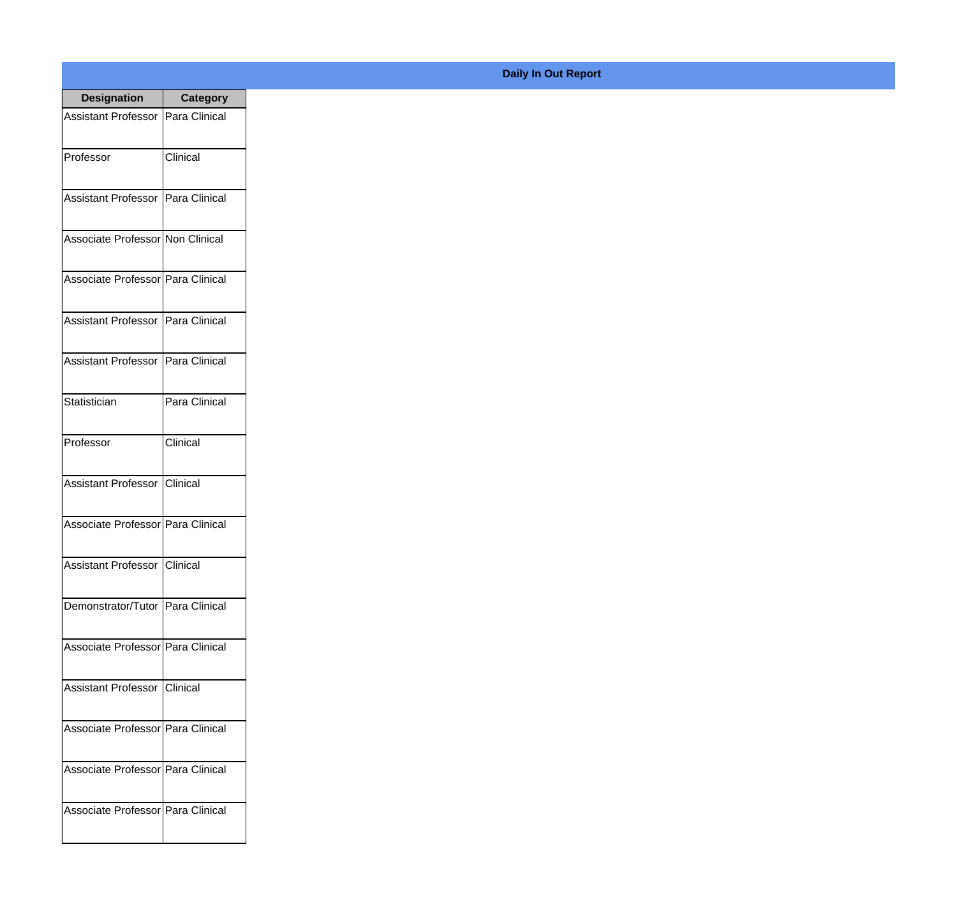| <b>Designation</b>                  | <b>Category</b> |
|-------------------------------------|-----------------|
| Assistant Professor   Para Clinical |                 |
| Professor                           | Clinical        |
| Assistant Professor   Para Clinical |                 |
| Associate Professor Non Clinical    |                 |
| Associate Professor Para Clinical   |                 |
| Assistant Professor   Para Clinical |                 |
| Assistant Professor   Para Clinical |                 |
| Statistician                        | Para Clinical   |
| Professor                           | Clinical        |
| Assistant Professor Clinical        |                 |
| Associate Professor Para Clinical   |                 |
| Assistant Professor   Clinical      |                 |
| Demonstrator/Tutor   Para Clinical  |                 |
| Associate Professor Para Clinical   |                 |
| Assistant Professor   Clinical      |                 |
| Associate Professor   Para Clinical |                 |
| Associate Professor   Para Clinical |                 |
| Associate Professor   Para Clinical |                 |

## **Daily In Out Report**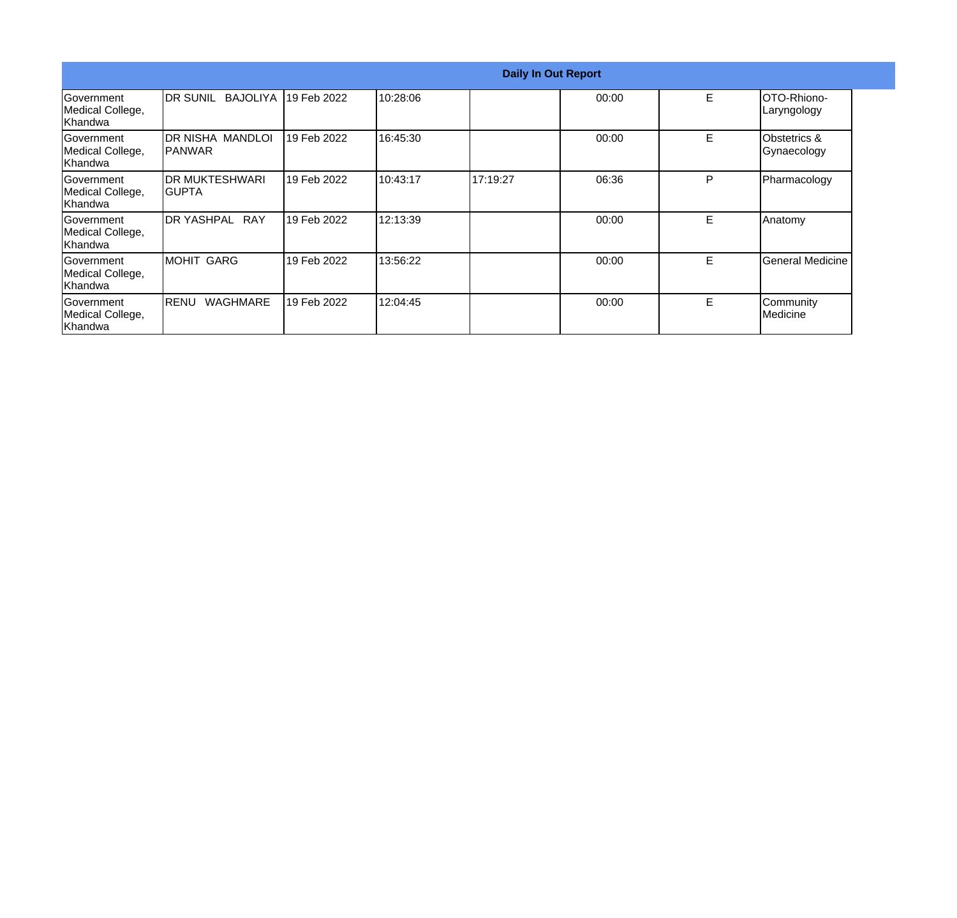|                                                  | <b>Daily In Out Report</b>         |             |          |          |       |   |                                        |  |
|--------------------------------------------------|------------------------------------|-------------|----------|----------|-------|---|----------------------------------------|--|
| Government<br>Medical College,<br>Khandwa        | BAJOLIYA<br><b>IDR SUNIL</b>       | 19 Feb 2022 | 10:28:06 |          | 00:00 | E | <b>OTO-Rhiono-</b><br>Laryngology      |  |
| Government<br>Medical College,<br>Khandwa        | DR NISHA MANDLOI<br><b>IPANWAR</b> | 19 Feb 2022 | 16:45:30 |          | 00:00 | E | <b>Obstetrics &amp;</b><br>Gynaecology |  |
| Government<br>Medical College,<br>Khandwa        | <b>DR MUKTESHWARI</b><br>IGUPTA    | 19 Feb 2022 | 10:43:17 | 17:19:27 | 06:36 | P | Pharmacology                           |  |
| <b>Sovernment</b><br>Medical College,<br>Khandwa | <b>DR YASHPAL RAY</b>              | 19 Feb 2022 | 12:13:39 |          | 00:00 | E | Anatomy                                |  |
| Government<br>Medical College,<br>Khandwa        | <b>MOHIT GARG</b>                  | 19 Feb 2022 | 13:56:22 |          | 00:00 | E | General Medicine                       |  |
| Government<br>Medical College,<br>Khandwa        | <b>WAGHMARE</b><br>IRENU           | 19 Feb 2022 | 12:04:45 |          | 00:00 | E | Community<br>Medicine                  |  |